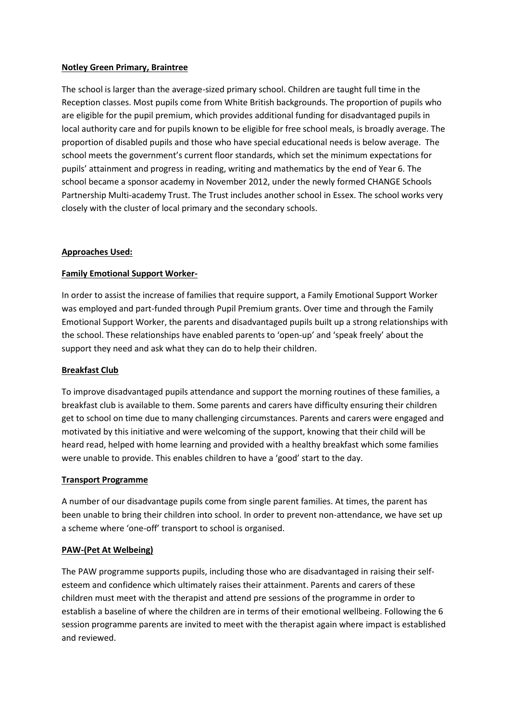## **Notley Green Primary, Braintree**

The school is larger than the average-sized primary school. Children are taught full time in the Reception classes. Most pupils come from White British backgrounds. The proportion of pupils who are eligible for the pupil premium, which provides additional funding for disadvantaged pupils in local authority care and for pupils known to be eligible for free school meals, is broadly average. The proportion of disabled pupils and those who have special educational needs is below average. The school meets the government's current floor standards, which set the minimum expectations for pupils' attainment and progress in reading, writing and mathematics by the end of Year 6. The school became a sponsor academy in November 2012, under the newly formed CHANGE Schools Partnership Multi-academy Trust. The Trust includes another school in Essex. The school works very closely with the cluster of local primary and the secondary schools.

## **Approaches Used:**

# **Family Emotional Support Worker-**

In order to assist the increase of families that require support, a Family Emotional Support Worker was employed and part-funded through Pupil Premium grants. Over time and through the Family Emotional Support Worker, the parents and disadvantaged pupils built up a strong relationships with the school. These relationships have enabled parents to 'open-up' and 'speak freely' about the support they need and ask what they can do to help their children.

### **Breakfast Club**

To improve disadvantaged pupils attendance and support the morning routines of these families, a breakfast club is available to them. Some parents and carers have difficulty ensuring their children get to school on time due to many challenging circumstances. Parents and carers were engaged and motivated by this initiative and were welcoming of the support, knowing that their child will be heard read, helped with home learning and provided with a healthy breakfast which some families were unable to provide. This enables children to have a 'good' start to the day.

### **Transport Programme**

A number of our disadvantage pupils come from single parent families. At times, the parent has been unable to bring their children into school. In order to prevent non-attendance, we have set up a scheme where 'one-off' transport to school is organised.

### **PAW-(Pet At Welbeing)**

The PAW programme supports pupils, including those who are disadvantaged in raising their selfesteem and confidence which ultimately raises their attainment. Parents and carers of these children must meet with the therapist and attend pre sessions of the programme in order to establish a baseline of where the children are in terms of their emotional wellbeing. Following the 6 session programme parents are invited to meet with the therapist again where impact is established and reviewed.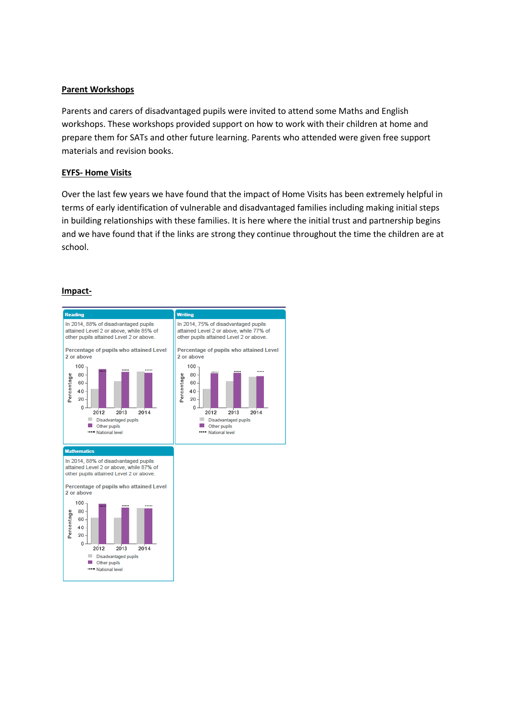## **Parent Workshops**

Parents and carers of disadvantaged pupils were invited to attend some Maths and English workshops. These workshops provided support on how to work with their children at home and prepare them for SATs and other future learning. Parents who attended were given free support materials and revision books.

## **EYFS- Home Visits**

Over the last few years we have found that the impact of Home Visits has been extremely helpful in terms of early identification of vulnerable and disadvantaged families including making initial steps in building relationships with these families. It is here where the initial trust and partnership begins and we have found that if the links are strong they continue throughout the time the children are at school.

## **Impact-**

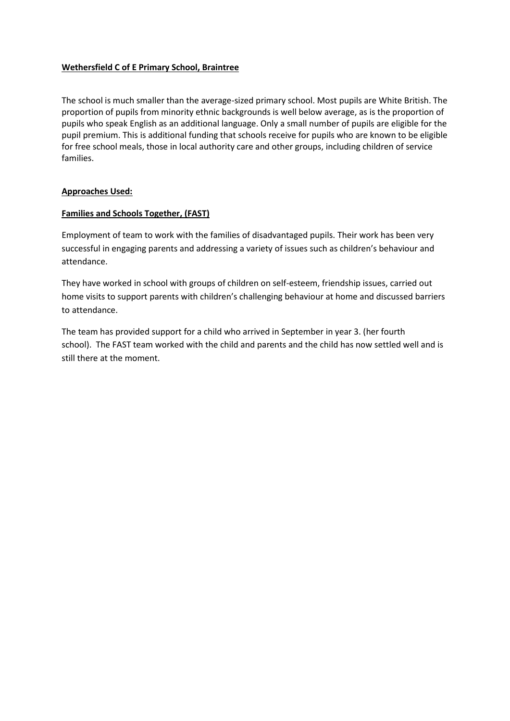## **Wethersfield C of E Primary School, Braintree**

The school is much smaller than the average-sized primary school. Most pupils are White British. The proportion of pupils from minority ethnic backgrounds is well below average, as is the proportion of pupils who speak English as an additional language. Only a small number of pupils are eligible for the pupil premium. This is additional funding that schools receive for pupils who are known to be eligible for free school meals, those in local authority care and other groups, including children of service families.

## **Approaches Used:**

## **Families and Schools Together, (FAST)**

Employment of team to work with the families of disadvantaged pupils. Their work has been very successful in engaging parents and addressing a variety of issues such as children's behaviour and attendance.

They have worked in school with groups of children on self-esteem, friendship issues, carried out home visits to support parents with children's challenging behaviour at home and discussed barriers to attendance.

The team has provided support for a child who arrived in September in year 3. (her fourth school). The FAST team worked with the child and parents and the child has now settled well and is still there at the moment.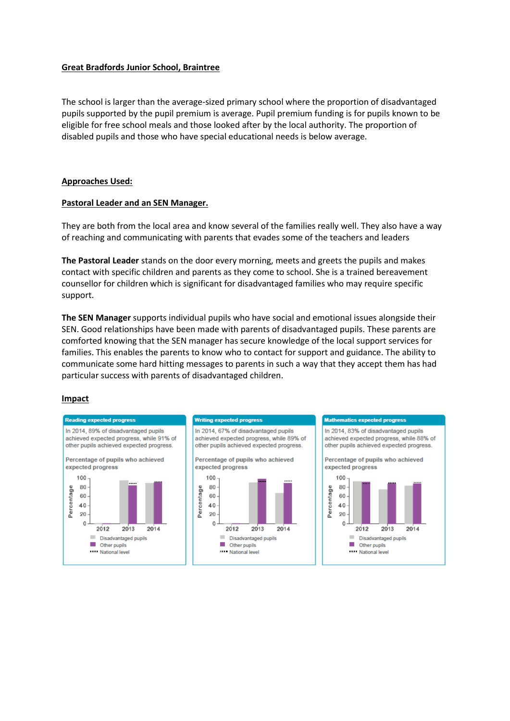### **Great Bradfords Junior School, Braintree**

The school is larger than the average-sized primary school where the proportion of disadvantaged pupils supported by the pupil premium is average. Pupil premium funding is for pupils known to be eligible for free school meals and those looked after by the local authority. The proportion of disabled pupils and those who have special educational needs is below average.

### **Approaches Used:**

### **Pastoral Leader and an SEN Manager.**

They are both from the local area and know several of the families really well. They also have a way of reaching and communicating with parents that evades some of the teachers and leaders

**The Pastoral Leader** stands on the door every morning, meets and greets the pupils and makes contact with specific children and parents as they come to school. She is a trained bereavement counsellor for children which is significant for disadvantaged families who may require specific support.

**The SEN Manager** supports individual pupils who have social and emotional issues alongside their SEN. Good relationships have been made with parents of disadvantaged pupils. These parents are comforted knowing that the SEN manager has secure knowledge of the local support services for families. This enables the parents to know who to contact for support and guidance. The ability to communicate some hard hitting messages to parents in such a way that they accept them has had particular success with parents of disadvantaged children.

#### **Impact**

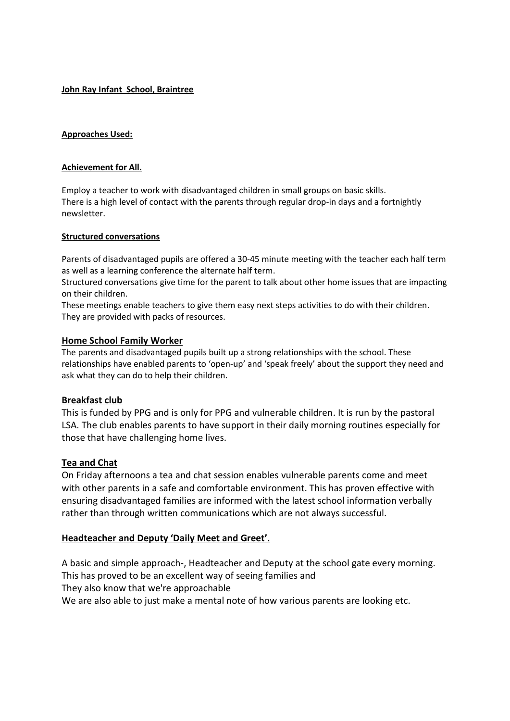**John Ray Infant School, Braintree**

## **Approaches Used:**

### **Achievement for All.**

Employ a teacher to work with disadvantaged children in small groups on basic skills. There is a high level of contact with the parents through regular drop-in days and a fortnightly newsletter.

## **Structured conversations**

Parents of disadvantaged pupils are offered a 30-45 minute meeting with the teacher each half term as well as a learning conference the alternate half term.

Structured conversations give time for the parent to talk about other home issues that are impacting on their children.

These meetings enable teachers to give them easy next steps activities to do with their children. They are provided with packs of resources.

# **Home School Family Worker**

The parents and disadvantaged pupils built up a strong relationships with the school. These relationships have enabled parents to 'open-up' and 'speak freely' about the support they need and ask what they can do to help their children.

# **Breakfast club**

This is funded by PPG and is only for PPG and vulnerable children. It is run by the pastoral LSA. The club enables parents to have support in their daily morning routines especially for those that have challenging home lives.

# **Tea and Chat**

On Friday afternoons a tea and chat session enables vulnerable parents come and meet with other parents in a safe and comfortable environment. This has proven effective with ensuring disadvantaged families are informed with the latest school information verbally rather than through written communications which are not always successful.

# **Headteacher and Deputy 'Daily Meet and Greet'.**

A basic and simple approach-, Headteacher and Deputy at the school gate every morning. This has proved to be an excellent way of seeing families and They also know that we're approachable We are also able to just make a mental note of how various parents are looking etc.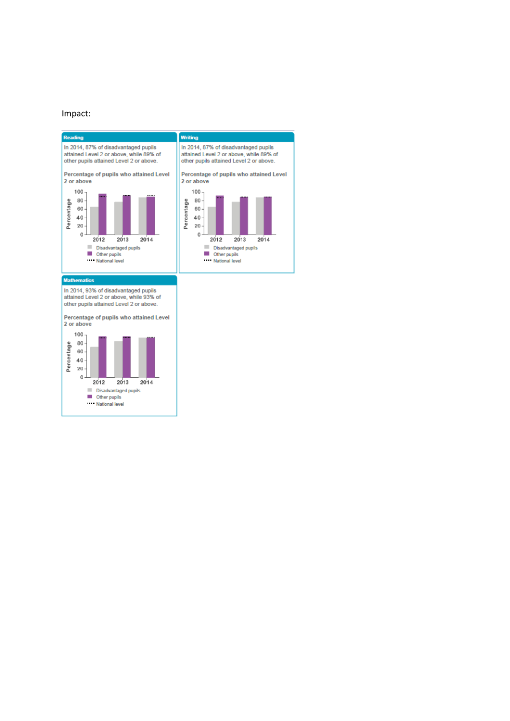### Impact:

 $\blacksquare$  Other pupils National level

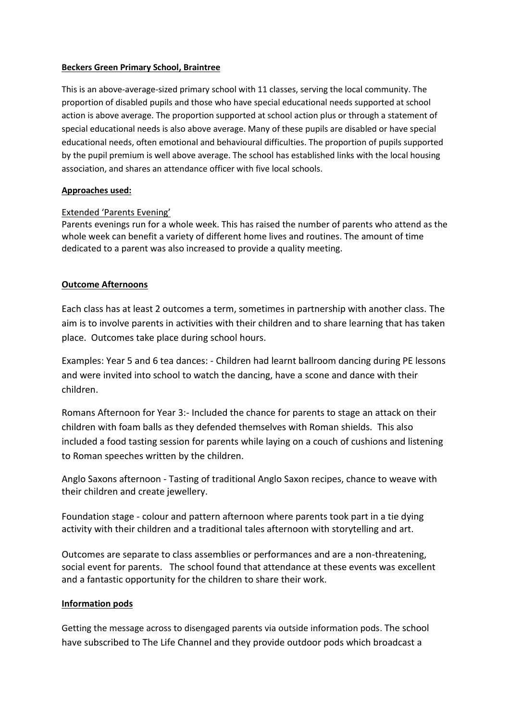## **Beckers Green Primary School, Braintree**

This is an above-average-sized primary school with 11 classes, serving the local community. The proportion of disabled pupils and those who have special educational needs supported at school action is above average. The proportion supported at school action plus or through a statement of special educational needs is also above average. Many of these pupils are disabled or have special educational needs, often emotional and behavioural difficulties. The proportion of pupils supported by the pupil premium is well above average. The school has established links with the local housing association, and shares an attendance officer with five local schools.

# **Approaches used:**

# Extended 'Parents Evening'

Parents evenings run for a whole week. This has raised the number of parents who attend as the whole week can benefit a variety of different home lives and routines. The amount of time dedicated to a parent was also increased to provide a quality meeting.

# **Outcome Afternoons**

Each class has at least 2 outcomes a term, sometimes in partnership with another class. The aim is to involve parents in activities with their children and to share learning that has taken place. Outcomes take place during school hours.

Examples: Year 5 and 6 tea dances: - Children had learnt ballroom dancing during PE lessons and were invited into school to watch the dancing, have a scone and dance with their children.

Romans Afternoon for Year 3:- Included the chance for parents to stage an attack on their children with foam balls as they defended themselves with Roman shields. This also included a food tasting session for parents while laying on a couch of cushions and listening to Roman speeches written by the children.

Anglo Saxons afternoon - Tasting of traditional Anglo Saxon recipes, chance to weave with their children and create jewellery.

Foundation stage - colour and pattern afternoon where parents took part in a tie dying activity with their children and a traditional tales afternoon with storytelling and art.

Outcomes are separate to class assemblies or performances and are a non-threatening, social event for parents. The school found that attendance at these events was excellent and a fantastic opportunity for the children to share their work.

# **Information pods**

Getting the message across to disengaged parents via outside information pods. The school have subscribed to The Life Channel and they provide outdoor pods which broadcast a